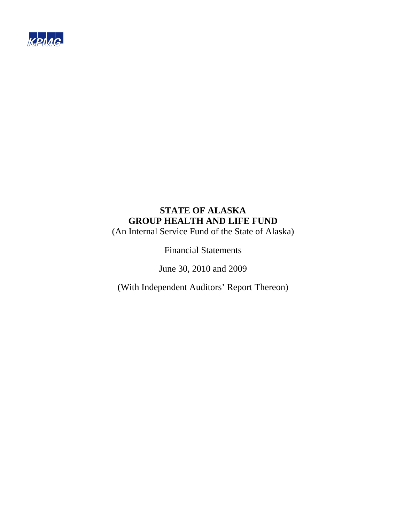

# **STATE OF ALASKA GROUP HEALTH AND LIFE FUND**

(An Internal Service Fund of the State of Alaska)

Financial Statements

June 30, 2010 and 2009

(With Independent Auditors' Report Thereon)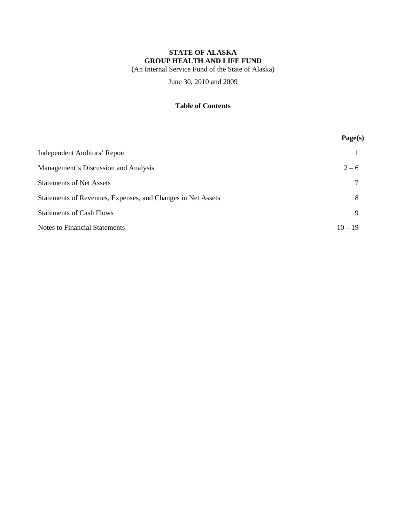# **STATE OF ALASKA GROUP HEALTH AND LIFE FUND**

(An Internal Service Fund of the State of Alaska)

June 30, 2010 and 2009

# **Table of Contents**

|                                                             | Page(s)   |
|-------------------------------------------------------------|-----------|
| <b>Independent Auditors' Report</b>                         |           |
| Management's Discussion and Analysis                        | $2 - 6$   |
| <b>Statements of Net Assets</b>                             |           |
| Statements of Revenues, Expenses, and Changes in Net Assets | 8         |
| <b>Statements of Cash Flows</b>                             | 9         |
| <b>Notes to Financial Statements</b>                        | $10 - 19$ |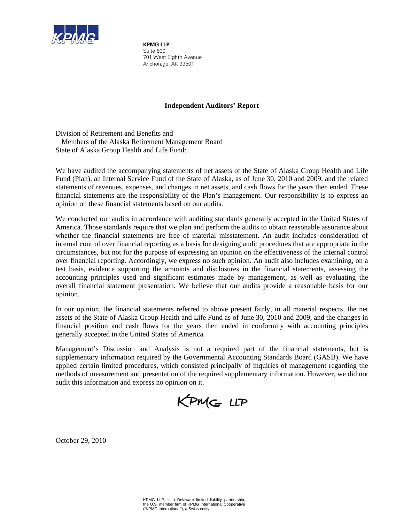

**KPMG LLP** Suite 600 701 West Eighth Avenue Anchorage, AK 99501

## **Independent Auditors' Report**

Division of Retirement and Benefits and Members of the Alaska Retirement Management Board State of Alaska Group Health and Life Fund:

We have audited the accompanying statements of net assets of the State of Alaska Group Health and Life Fund (Plan), an Internal Service Fund of the State of Alaska, as of June 30, 2010 and 2009, and the related statements of revenues, expenses, and changes in net assets, and cash flows for the years then ended. These financial statements are the responsibility of the Plan's management. Our responsibility is to express an opinion on these financial statements based on our audits.

We conducted our audits in accordance with auditing standards generally accepted in the United States of America. Those standards require that we plan and perform the audits to obtain reasonable assurance about whether the financial statements are free of material misstatement. An audit includes consideration of internal control over financial reporting as a basis for designing audit procedures that are appropriate in the circumstances, but not for the purpose of expressing an opinion on the effectiveness of the internal control over financial reporting. Accordingly, we express no such opinion. An audit also includes examining, on a test basis, evidence supporting the amounts and disclosures in the financial statements, assessing the accounting principles used and significant estimates made by management, as well as evaluating the overall financial statement presentation. We believe that our audits provide a reasonable basis for our opinion.

In our opinion, the financial statements referred to above present fairly, in all material respects, the net assets of the State of Alaska Group Health and Life Fund as of June 30, 2010 and 2009, and the changes in financial position and cash flows for the years then ended in conformity with accounting principles generally accepted in the United States of America.

Management's Discussion and Analysis is not a required part of the financial statements, but is supplementary information required by the Governmental Accounting Standards Board (GASB). We have applied certain limited procedures, which consisted principally of inquiries of management regarding the methods of measurement and presentation of the required supplementary information. However, we did not audit this information and express no opinion on it.

KPMG LLP

October 29, 2010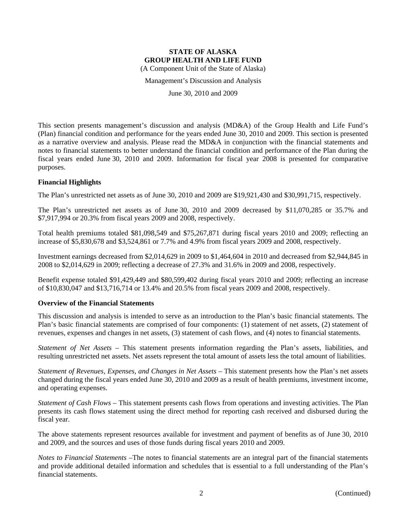Management's Discussion and Analysis

June 30, 2010 and 2009

This section presents management's discussion and analysis (MD&A) of the Group Health and Life Fund's (Plan) financial condition and performance for the years ended June 30, 2010 and 2009. This section is presented as a narrative overview and analysis. Please read the MD&A in conjunction with the financial statements and notes to financial statements to better understand the financial condition and performance of the Plan during the fiscal years ended June 30, 2010 and 2009. Information for fiscal year 2008 is presented for comparative purposes.

## **Financial Highlights**

The Plan's unrestricted net assets as of June 30, 2010 and 2009 are \$19,921,430 and \$30,991,715, respectively.

The Plan's unrestricted net assets as of June 30, 2010 and 2009 decreased by \$11,070,285 or 35.7% and \$7,917,994 or 20.3% from fiscal years 2009 and 2008, respectively.

Total health premiums totaled \$81,098,549 and \$75,267,871 during fiscal years 2010 and 2009; reflecting an increase of \$5,830,678 and \$3,524,861 or 7.7% and 4.9% from fiscal years 2009 and 2008, respectively.

Investment earnings decreased from \$2,014,629 in 2009 to \$1,464,604 in 2010 and decreased from \$2,944,845 in 2008 to \$2,014,629 in 2009; reflecting a decrease of 27.3% and 31.6% in 2009 and 2008, respectively.

Benefit expense totaled \$91,429,449 and \$80,599,402 during fiscal years 2010 and 2009; reflecting an increase of \$10,830,047 and \$13,716,714 or 13.4% and 20.5% from fiscal years 2009 and 2008, respectively.

#### **Overview of the Financial Statements**

This discussion and analysis is intended to serve as an introduction to the Plan's basic financial statements. The Plan's basic financial statements are comprised of four components: (1) statement of net assets, (2) statement of revenues, expenses and changes in net assets, (3) statement of cash flows, and (4) notes to financial statements.

*Statement of Net Assets* – This statement presents information regarding the Plan's assets, liabilities, and resulting unrestricted net assets. Net assets represent the total amount of assets less the total amount of liabilities.

*Statement of Revenues, Expenses, and Changes in Net Assets* – This statement presents how the Plan's net assets changed during the fiscal years ended June 30, 2010 and 2009 as a result of health premiums, investment income, and operating expenses.

*Statement of Cash Flows* – This statement presents cash flows from operations and investing activities. The Plan presents its cash flows statement using the direct method for reporting cash received and disbursed during the fiscal year.

The above statements represent resources available for investment and payment of benefits as of June 30, 2010 and 2009, and the sources and uses of those funds during fiscal years 2010 and 2009.

*Notes to Financial Statements* –The notes to financial statements are an integral part of the financial statements and provide additional detailed information and schedules that is essential to a full understanding of the Plan's financial statements.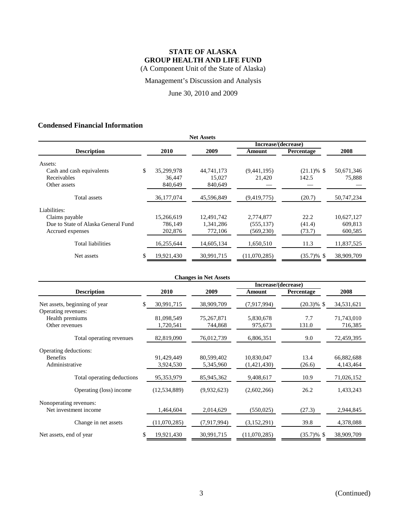Management's Discussion and Analysis

June 30, 2010 and 2009

## **Condensed Financial Information**

| <b>Net Assets</b>                   |    |            |            |                     |               |            |
|-------------------------------------|----|------------|------------|---------------------|---------------|------------|
|                                     |    |            |            | Increase/(decrease) |               |            |
| <b>Description</b>                  |    | 2010       | 2009       | Amount              | Percentage    | 2008       |
| Assets:                             |    |            |            |                     |               |            |
| Cash and cash equivalents           | \$ | 35,299,978 | 44,741,173 | (9,441,195)         | $(21.1)\%$ \$ | 50,671,346 |
| Receivables                         |    | 36,447     | 15,027     | 21,420              | 142.5         | 75,888     |
| Other assets                        |    | 840,649    | 840.649    |                     |               |            |
| Total assets                        |    | 36,177,074 | 45,596,849 | (9,419,775)         | (20.7)        | 50,747,234 |
| Liabilities:                        |    |            |            |                     |               |            |
| Claims payable                      |    | 15,266,619 | 12,491,742 | 2,774,877           | 22.2          | 10,627,127 |
| Due to State of Alaska General Fund |    | 786.149    | 1,341,286  | (555, 137)          | (41.4)        | 609,813    |
| Accrued expenses                    |    | 202,876    | 772,106    | (569, 230)          | (73.7)        | 600,585    |
| Total liabilities                   |    | 16,255,644 | 14,605,134 | 1,650,510           | 11.3          | 11,837,525 |
| Net assets                          | \$ | 19,921,430 | 30,991,715 | (11,070,285)        | $(35.7)\%$ \$ | 38,909,709 |

|                                                          |                         | <b>Changes in Net Assets</b> |                      |               |                       |
|----------------------------------------------------------|-------------------------|------------------------------|----------------------|---------------|-----------------------|
|                                                          |                         |                              | Increase/(decrease)  |               |                       |
| <b>Description</b>                                       | 2010                    | 2009                         | Amount               | Percentage    | 2008                  |
| Net assets, beginning of year                            | \$<br>30,991,715        | 38,909,709                   | (7,917,994)          | $(20.3)\%$ \$ | 34,531,621            |
| Operating revenues:<br>Health premiums<br>Other revenues | 81,098,549<br>1,720,541 | 75,267,871<br>744,868        | 5,830,678<br>975,673 | 7.7<br>131.0  | 71,743,010<br>716,385 |
| Total operating revenues                                 | 82,819,090              | 76,012,739                   | 6,806,351            | 9.0           | 72,459,395            |
| Operating deductions:                                    |                         |                              |                      |               |                       |
| <b>Benefits</b>                                          | 91,429,449              | 80,599,402                   | 10,830,047           | 13.4          | 66,882,688            |
| Administrative                                           | 3,924,530               | 5,345,960                    | (1,421,430)          | (26.6)        | 4,143,464             |
| Total operating deductions                               | 95,353,979              | 85,945,362                   | 9,408,617            | 10.9          | 71,026,152            |
| Operating (loss) income                                  | (12, 534, 889)          | (9,932,623)                  | (2,602,266)          | 26.2          | 1,433,243             |
| Nonoperating revenues:                                   |                         |                              |                      |               |                       |
| Net investment income                                    | 1,464,604               | 2,014,629                    | (550, 025)           | (27.3)        | 2,944,845             |
| Change in net assets                                     | (11,070,285)            | (7,917,994)                  | (3,152,291)          | 39.8          | 4,378,088             |
| Net assets, end of year                                  | \$<br>19,921,430        | 30,991,715                   | (11,070,285)         | $(35.7)\%$ \$ | 38,909,709            |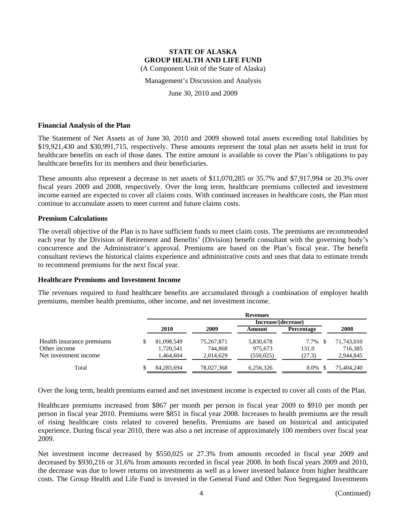Management's Discussion and Analysis

June 30, 2010 and 2009

#### **Financial Analysis of the Plan**

The Statement of Net Assets as of June 30, 2010 and 2009 showed total assets exceeding total liabilities by \$19,921,430 and \$30,991,715, respectively. These amounts represent the total plan net assets held in trust for healthcare benefits on each of those dates. The entire amount is available to cover the Plan's obligations to pay healthcare benefits for its members and their beneficiaries.

These amounts also represent a decrease in net assets of \$11,070,285 or 35.7% and \$7,917,994 or 20.3% over fiscal years 2009 and 2008, respectively. Over the long term, healthcare premiums collected and investment income earned are expected to cover all claims costs. With continued increases in healthcare costs, the Plan must continue to accumulate assets to meet current and future claims costs.

## **Premium Calculations**

The overall objective of the Plan is to have sufficient funds to meet claim costs. The premiums are recommended each year by the Division of Retirement and Benefits' (Division) benefit consultant with the governing body's concurrence and the Administrator's approval. Premiums are based on the Plan's fiscal year. The benefit consultant reviews the historical claims experience and administrative costs and uses that data to estimate trends to recommend premiums for the next fiscal year.

#### **Healthcare Premiums and Investment Income**

The revenues required to fund healthcare benefits are accumulated through a combination of employer health premiums, member health premiums, other income, and net investment income.

|                           | <b>Revenues</b> |            |                     |                   |            |  |
|---------------------------|-----------------|------------|---------------------|-------------------|------------|--|
|                           |                 |            | Increase/(decrease) |                   |            |  |
|                           | 2010            | 2009       | Amount              | <b>Percentage</b> | 2008       |  |
| Health insurance premiums | 81,098,549      | 75,267,871 | 5,830,678           | 7.7%              | 71,743,010 |  |
| Other income              | 1,720,541       | 744,868    | 975.673             | 131.0             | 716,385    |  |
| Net investment income     | 1.464.604       | 2,014,629  | (550, 025)          | (27.3)            | 2,944,845  |  |
| Total                     | 84,283,694      | 78,027,368 | 6,256,326           | 8.0%              | 75,404,240 |  |

Over the long term, health premiums earned and net investment income is expected to cover all costs of the Plan.

Healthcare premiums increased from \$867 per month per person in fiscal year 2009 to \$910 per month per person in fiscal year 2010. Premiums were \$851 in fiscal year 2008. Increases to health premiums are the result of rising healthcare costs related to covered benefits. Premiums are based on historical and anticipated experience. During fiscal year 2010, there was also a net increase of approximately 100 members over fiscal year 2009.

Net investment income decreased by \$550,025 or 27.3% from amounts recorded in fiscal year 2009 and decreased by \$930,216 or 31.6% from amounts recorded in fiscal year 2008. In both fiscal years 2009 and 2010, the decrease was due to lower returns on investments as well as a lower invested balance from higher healthcare costs. The Group Health and Life Fund is invested in the General Fund and Other Non Segregated Investments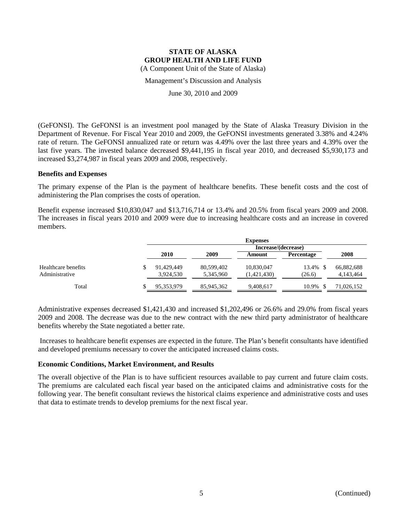Management's Discussion and Analysis

June 30, 2010 and 2009

(GeFONSI). The GeFONSI is an investment pool managed by the State of Alaska Treasury Division in the Department of Revenue. For Fiscal Year 2010 and 2009, the GeFONSI investments generated 3.38% and 4.24% rate of return. The GeFONSI annualized rate or return was 4.49% over the last three years and 4.39% over the last five years. The invested balance decreased \$9,441,195 in fiscal year 2010, and decreased \$5,930,173 and increased \$3,274,987 in fiscal years 2009 and 2008, respectively.

#### **Benefits and Expenses**

The primary expense of the Plan is the payment of healthcare benefits. These benefit costs and the cost of administering the Plan comprises the costs of operation.

Benefit expense increased \$10,830,047 and \$13,716,714 or 13.4% and 20.5% from fiscal years 2009 and 2008. The increases in fiscal years 2010 and 2009 were due to increasing healthcare costs and an increase in covered members.

|                     | <b>Expenses</b> |            |                     |                   |            |  |  |
|---------------------|-----------------|------------|---------------------|-------------------|------------|--|--|
|                     |                 |            | Increase/(decrease) |                   |            |  |  |
|                     | 2010            | 2009       | Amount              | <b>Percentage</b> | 2008       |  |  |
| Healthcare benefits | 91,429,449      | 80,599,402 | 10,830,047          | 13.4% \$          | 66,882,688 |  |  |
| Administrative      | 3.924.530       | 5,345,960  | (1,421,430)         | (26.6)            | 4,143,464  |  |  |
| Total               | 95,353,979      | 85,945,362 | 9,408,617           | 10.9%             | 71,026,152 |  |  |

Administrative expenses decreased \$1,421,430 and increased \$1,202,496 or 26.6% and 29.0% from fiscal years 2009 and 2008. The decrease was due to the new contract with the new third party administrator of healthcare benefits whereby the State negotiated a better rate.

 Increases to healthcare benefit expenses are expected in the future. The Plan's benefit consultants have identified and developed premiums necessary to cover the anticipated increased claims costs.

#### **Economic Conditions, Market Environment, and Results**

The overall objective of the Plan is to have sufficient resources available to pay current and future claim costs. The premiums are calculated each fiscal year based on the anticipated claims and administrative costs for the following year. The benefit consultant reviews the historical claims experience and administrative costs and uses that data to estimate trends to develop premiums for the next fiscal year.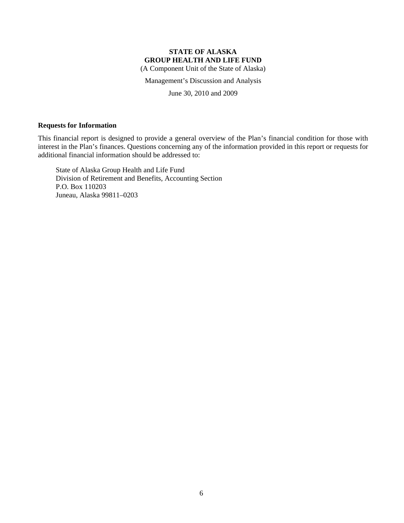Management's Discussion and Analysis

June 30, 2010 and 2009

#### **Requests for Information**

This financial report is designed to provide a general overview of the Plan's financial condition for those with interest in the Plan's finances. Questions concerning any of the information provided in this report or requests for additional financial information should be addressed to:

State of Alaska Group Health and Life Fund Division of Retirement and Benefits, Accounting Section P.O. Box 110203 Juneau, Alaska 99811–0203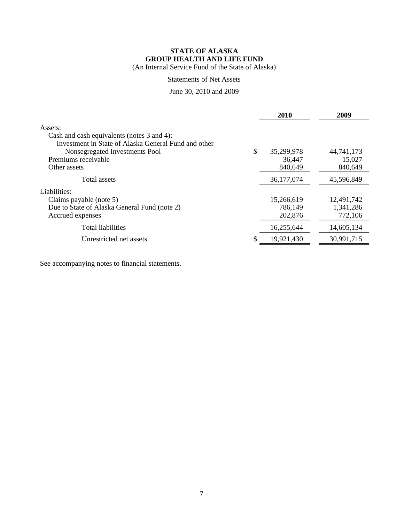# **STATE OF ALASKA GROUP HEALTH AND LIFE FUND**

(An Internal Service Fund of the State of Alaska)

# Statements of Net Assets

## June 30, 2010 and 2009

|                                                      | 2010             | 2009       |
|------------------------------------------------------|------------------|------------|
| Assets:                                              |                  |            |
| Cash and cash equivalents (notes 3 and 4):           |                  |            |
| Investment in State of Alaska General Fund and other |                  |            |
| Nonsegregated Investments Pool                       | \$<br>35,299,978 | 44,741,173 |
| Premiums receivable                                  | 36,447           | 15,027     |
| Other assets                                         | 840,649          | 840,649    |
| Total assets                                         | 36,177,074       | 45,596,849 |
| Liabilities:                                         |                  |            |
| Claims payable (note 5)                              | 15,266,619       | 12,491,742 |
| Due to State of Alaska General Fund (note 2)         | 786,149          | 1,341,286  |
| Accrued expenses                                     | 202,876          | 772,106    |
| <b>Total liabilities</b>                             | 16,255,644       | 14,605,134 |
| Unrestricted net assets                              | 19,921,430       | 30,991,715 |

See accompanying notes to financial statements.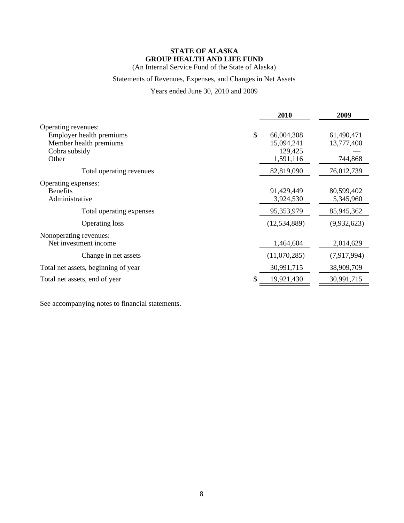# **STATE OF ALASKA GROUP HEALTH AND LIFE FUND**

(An Internal Service Fund of the State of Alaska)

# Statements of Revenues, Expenses, and Changes in Net Assets

Years ended June 30, 2010 and 2009

|                                                                                            | 2010                                      | 2009                      |
|--------------------------------------------------------------------------------------------|-------------------------------------------|---------------------------|
| Operating revenues:<br>Employer health premiums<br>Member health premiums<br>Cobra subsidy | \$<br>66,004,308<br>15,094,241<br>129,425 | 61,490,471<br>13,777,400  |
| Other<br>Total operating revenues                                                          | 1,591,116<br>82,819,090                   | 744,868<br>76,012,739     |
| Operating expenses:<br><b>Benefits</b><br>Administrative                                   | 91,429,449<br>3,924,530                   | 80,599,402<br>5,345,960   |
| Total operating expenses<br><b>Operating loss</b>                                          | 95,353,979<br>(12, 534, 889)              | 85,945,362<br>(9,932,623) |
| Nonoperating revenues:<br>Net investment income                                            | 1,464,604                                 | 2,014,629                 |
| Change in net assets                                                                       | (11,070,285)                              | (7,917,994)               |
| Total net assets, beginning of year                                                        | 30,991,715                                | 38,909,709                |
| Total net assets, end of year                                                              | 19,921,430                                | 30,991,715                |

See accompanying notes to financial statements.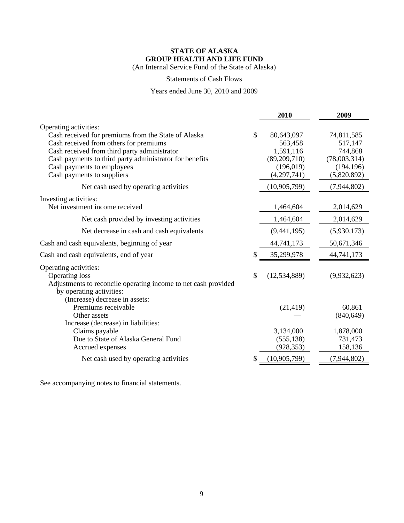# **STATE OF ALASKA GROUP HEALTH AND LIFE FUND**

(An Internal Service Fund of the State of Alaska)

# Statements of Cash Flows

## Years ended June 30, 2010 and 2009

|                                                                                                                                                                                                                                                                                               | 2010                                                                                      | 2009                                                                          |
|-----------------------------------------------------------------------------------------------------------------------------------------------------------------------------------------------------------------------------------------------------------------------------------------------|-------------------------------------------------------------------------------------------|-------------------------------------------------------------------------------|
| Operating activities:<br>Cash received for premiums from the State of Alaska<br>Cash received from others for premiums<br>Cash received from third party administrator<br>Cash payments to third party administrator for benefits<br>Cash payments to employees<br>Cash payments to suppliers | \$<br>80,643,097<br>563,458<br>1,591,116<br>(89, 209, 710)<br>(196, 019)<br>(4, 297, 741) | 74,811,585<br>517,147<br>744,868<br>(78,003,314)<br>(194, 196)<br>(5,820,892) |
| Net cash used by operating activities                                                                                                                                                                                                                                                         | (10, 905, 799)                                                                            | (7,944,802)                                                                   |
| Investing activities:<br>Net investment income received                                                                                                                                                                                                                                       | 1,464,604                                                                                 | 2,014,629                                                                     |
| Net cash provided by investing activities                                                                                                                                                                                                                                                     | 1,464,604                                                                                 | 2,014,629                                                                     |
| Net decrease in cash and cash equivalents                                                                                                                                                                                                                                                     | (9,441,195)                                                                               | (5,930,173)                                                                   |
| Cash and cash equivalents, beginning of year                                                                                                                                                                                                                                                  | 44,741,173                                                                                | 50,671,346                                                                    |
| Cash and cash equivalents, end of year                                                                                                                                                                                                                                                        | 35,299,978                                                                                | 44,741,173                                                                    |
| Operating activities:<br><b>Operating loss</b><br>Adjustments to reconcile operating income to net cash provided<br>by operating activities:                                                                                                                                                  | \$<br>(12, 534, 889)                                                                      | (9,932,623)                                                                   |
| (Increase) decrease in assets:<br>Premiums receivable<br>Other assets<br>Increase (decrease) in liabilities:                                                                                                                                                                                  | (21, 419)                                                                                 | 60,861<br>(840, 649)                                                          |
| Claims payable<br>Due to State of Alaska General Fund<br>Accrued expenses                                                                                                                                                                                                                     | 3,134,000<br>(555, 138)<br>(928, 353)                                                     | 1,878,000<br>731,473<br>158,136                                               |
| Net cash used by operating activities                                                                                                                                                                                                                                                         | (10, 905, 799)                                                                            | (7,944,802)                                                                   |

See accompanying notes to financial statements.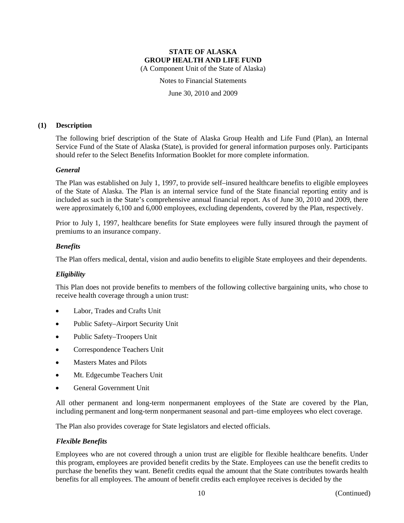Notes to Financial Statements

June 30, 2010 and 2009

## **(1) Description**

The following brief description of the State of Alaska Group Health and Life Fund (Plan), an Internal Service Fund of the State of Alaska (State), is provided for general information purposes only. Participants should refer to the Select Benefits Information Booklet for more complete information.

## *General*

The Plan was established on July 1, 1997, to provide self–insured healthcare benefits to eligible employees of the State of Alaska. The Plan is an internal service fund of the State financial reporting entity and is included as such in the State's comprehensive annual financial report. As of June 30, 2010 and 2009, there were approximately 6,100 and 6,000 employees, excluding dependents, covered by the Plan, respectively.

Prior to July 1, 1997, healthcare benefits for State employees were fully insured through the payment of premiums to an insurance company.

## *Benefits*

The Plan offers medical, dental, vision and audio benefits to eligible State employees and their dependents.

## *Eligibility*

This Plan does not provide benefits to members of the following collective bargaining units, who chose to receive health coverage through a union trust:

- Labor, Trades and Crafts Unit
- Public Safety–Airport Security Unit
- Public Safety–Troopers Unit
- Correspondence Teachers Unit
- Masters Mates and Pilots
- Mt. Edgecumbe Teachers Unit
- General Government Unit

All other permanent and long-term nonpermanent employees of the State are covered by the Plan, including permanent and long-term nonpermanent seasonal and part–time employees who elect coverage.

The Plan also provides coverage for State legislators and elected officials.

## *Flexible Benefits*

Employees who are not covered through a union trust are eligible for flexible healthcare benefits. Under this program, employees are provided benefit credits by the State. Employees can use the benefit credits to purchase the benefits they want. Benefit credits equal the amount that the State contributes towards health benefits for all employees. The amount of benefit credits each employee receives is decided by the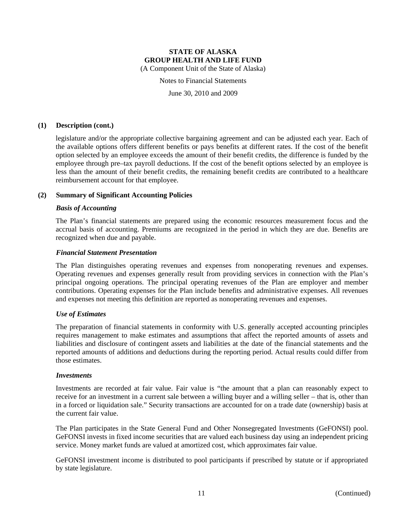Notes to Financial Statements

June 30, 2010 and 2009

## **(1) Description (cont.)**

legislature and/or the appropriate collective bargaining agreement and can be adjusted each year. Each of the available options offers different benefits or pays benefits at different rates. If the cost of the benefit option selected by an employee exceeds the amount of their benefit credits, the difference is funded by the employee through pre–tax payroll deductions. If the cost of the benefit options selected by an employee is less than the amount of their benefit credits, the remaining benefit credits are contributed to a healthcare reimbursement account for that employee.

#### **(2) Summary of Significant Accounting Policies**

## *Basis of Accounting*

The Plan's financial statements are prepared using the economic resources measurement focus and the accrual basis of accounting. Premiums are recognized in the period in which they are due. Benefits are recognized when due and payable.

## *Financial Statement Presentation*

The Plan distinguishes operating revenues and expenses from nonoperating revenues and expenses. Operating revenues and expenses generally result from providing services in connection with the Plan's principal ongoing operations. The principal operating revenues of the Plan are employer and member contributions. Operating expenses for the Plan include benefits and administrative expenses. All revenues and expenses not meeting this definition are reported as nonoperating revenues and expenses.

## *Use of Estimates*

The preparation of financial statements in conformity with U.S. generally accepted accounting principles requires management to make estimates and assumptions that affect the reported amounts of assets and liabilities and disclosure of contingent assets and liabilities at the date of the financial statements and the reported amounts of additions and deductions during the reporting period. Actual results could differ from those estimates.

#### *Investments*

Investments are recorded at fair value. Fair value is "the amount that a plan can reasonably expect to receive for an investment in a current sale between a willing buyer and a willing seller – that is, other than in a forced or liquidation sale." Security transactions are accounted for on a trade date (ownership) basis at the current fair value.

The Plan participates in the State General Fund and Other Nonsegregated Investments (GeFONSI) pool. GeFONSI invests in fixed income securities that are valued each business day using an independent pricing service. Money market funds are valued at amortized cost, which approximates fair value.

GeFONSI investment income is distributed to pool participants if prescribed by statute or if appropriated by state legislature.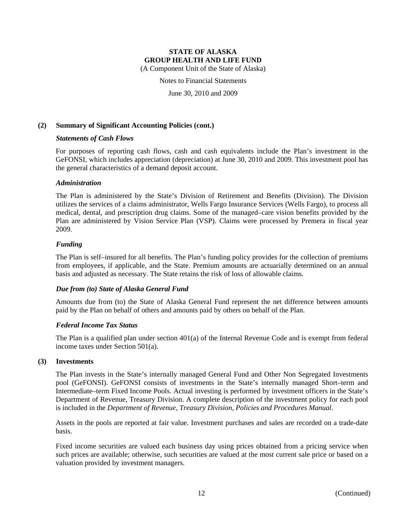Notes to Financial Statements

June 30, 2010 and 2009

## **(2) Summary of Significant Accounting Policies (cont.)**

#### *Statements of Cash Flows*

For purposes of reporting cash flows, cash and cash equivalents include the Plan's investment in the GeFONSI, which includes appreciation (depreciation) at June 30, 2010 and 2009. This investment pool has the general characteristics of a demand deposit account.

#### *Administration*

The Plan is administered by the State's Division of Retirement and Benefits (Division). The Division utilizes the services of a claims administrator, Wells Fargo Insurance Services (Wells Fargo), to process all medical, dental, and prescription drug claims. Some of the managed–care vision benefits provided by the Plan are administered by Vision Service Plan (VSP). Claims were processed by Premera in fiscal year 2009.

#### *Funding*

The Plan is self–insured for all benefits. The Plan's funding policy provides for the collection of premiums from employees, if applicable, and the State. Premium amounts are actuarially determined on an annual basis and adjusted as necessary. The State retains the risk of loss of allowable claims.

#### *Due from (to) State of Alaska General Fund*

Amounts due from (to) the State of Alaska General Fund represent the net difference between amounts paid by the Plan on behalf of others and amounts paid by others on behalf of the Plan.

#### *Federal Income Tax Status*

The Plan is a qualified plan under section 401(a) of the Internal Revenue Code and is exempt from federal income taxes under Section 501(a).

#### **(3) Investments**

The Plan invests in the State's internally managed General Fund and Other Non Segregated Investments pool (GeFONSI). GeFONSI consists of investments in the State's internally managed Short–term and Intermediate–term Fixed Income Pools. Actual investing is performed by investment officers in the State's Department of Revenue, Treasury Division. A complete description of the investment policy for each pool is included in the *Department of Revenue, Treasury Division, Policies and Procedures Manual*.

Assets in the pools are reported at fair value. Investment purchases and sales are recorded on a trade-date basis.

Fixed income securities are valued each business day using prices obtained from a pricing service when such prices are available; otherwise, such securities are valued at the most current sale price or based on a valuation provided by investment managers.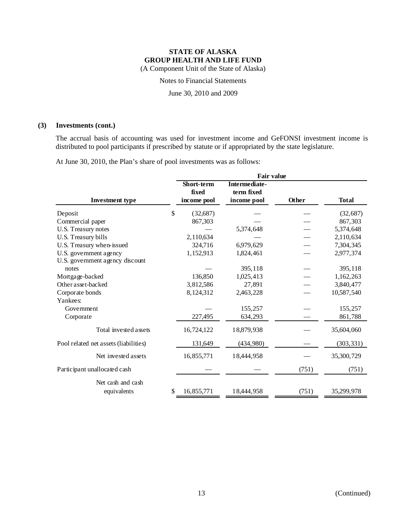Notes to Financial Statements

June 30, 2010 and 2009

## **(3) Investments (cont.)**

The accrual basis of accounting was used for investment income and GeFONSI investment income is distributed to pool participants if prescribed by statute or if appropriated by the state legislature.

At June 30, 2010, the Plan's share of pool investments was as follows:

|                                                           | Fair value                         |                                            |       |              |  |
|-----------------------------------------------------------|------------------------------------|--------------------------------------------|-------|--------------|--|
| <b>Investment type</b>                                    | Short-term<br>fixed<br>income pool | Intermediate-<br>term fixed<br>income pool | Other | <b>Total</b> |  |
| Deposit                                                   | \$<br>(32,687)                     |                                            |       | (32, 687)    |  |
| Commercial paper                                          | 867,303                            |                                            |       | 867,303      |  |
| U.S. Treasury notes                                       |                                    | 5,374,648                                  |       | 5,374,648    |  |
| U.S. Treasury bills                                       | 2,110,634                          |                                            |       | 2,110,634    |  |
| U.S. Treasury when-issued                                 | 324,716                            | 6,979,629                                  |       | 7,304,345    |  |
| U.S. government agency<br>U.S. government agency discount | 1,152,913                          | 1,824,461                                  |       | 2,977,374    |  |
| notes                                                     |                                    | 395,118                                    |       | 395,118      |  |
| Mortgage-backed                                           | 136,850                            | 1,025,413                                  |       | 1,162,263    |  |
| Other asset-backed                                        | 3,812,586                          | 27,891                                     |       | 3,840,477    |  |
| Corporate bonds                                           | 8,124,312                          | 2,463,228                                  |       | 10,587,540   |  |
| Yankees:                                                  |                                    |                                            |       |              |  |
| Government                                                |                                    | 155,257                                    |       | 155,257      |  |
| Corporate                                                 | 227,495                            | 634,293                                    |       | 861,788      |  |
| Total invested assets                                     | 16,724,122                         | 18,879,938                                 |       | 35,604,060   |  |
| Pool related net assets (liabilities)                     | 131,649                            | (434,980)                                  |       | (303, 331)   |  |
| Net invested assets                                       | 16,855,771                         | 18,444,958                                 |       | 35,300,729   |  |
| Participant unallocated cash                              |                                    |                                            | (751) | (751)        |  |
| Net cash and cash<br>equivalents                          | \$<br>16,855,771                   | 18,444,958                                 | (751) | 35,299,978   |  |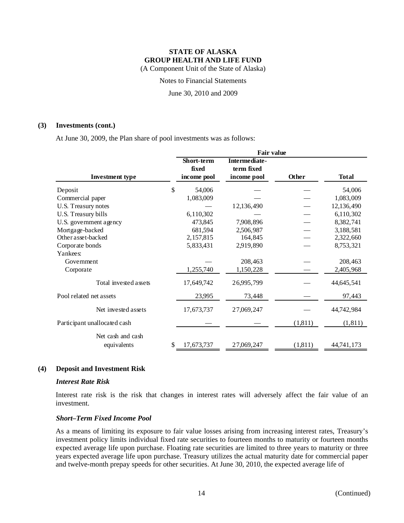Notes to Financial Statements

June 30, 2010 and 2009

#### **(3) Investments (cont.)**

At June 30, 2009, the Plan share of pool investments was as follows:

|                              | <b>Fair value</b> |               |         |              |  |
|------------------------------|-------------------|---------------|---------|--------------|--|
|                              | Short-term        | Intermediate- |         |              |  |
|                              | fixed             | term fixed    |         |              |  |
| <b>Investment type</b>       | income pool       | income pool   | Other   | <b>Total</b> |  |
| Deposit                      | \$<br>54,006      |               |         | 54,006       |  |
| Commercial paper             | 1,083,009         |               |         | 1,083,009    |  |
| U.S. Treasury notes          |                   | 12,136,490    |         | 12,136,490   |  |
| U.S. Treasury bills          | 6,110,302         |               |         | 6,110,302    |  |
| U.S. government agency       | 473,845           | 7,908,896     |         | 8,382,741    |  |
| Mortgage-backed              | 681,594           | 2,506,987     |         | 3,188,581    |  |
| Other asset-backed           | 2,157,815         | 164,845       |         | 2,322,660    |  |
| Corporate bonds              | 5,833,431         | 2,919,890     |         | 8,753,321    |  |
| Yankees:                     |                   |               |         |              |  |
| Government                   |                   | 208,463       |         | 208,463      |  |
| Corporate                    | 1,255,740         | 1,150,228     |         | 2,405,968    |  |
| Total invested assets        | 17,649,742        | 26,995,799    |         | 44,645,541   |  |
| Pool related net assets      | 23,995            | 73,448        |         | 97,443       |  |
| Net invested assets          | 17,673,737        | 27,069,247    |         | 44,742,984   |  |
| Participant unallocated cash |                   |               | (1,811) | (1, 811)     |  |
| Net cash and cash            |                   |               |         |              |  |
| equivalents                  | \$<br>17,673,737  | 27,069,247    | (1,811) | 44,741,173   |  |

#### **(4) Deposit and Investment Risk**

#### *Interest Rate Risk*

Interest rate risk is the risk that changes in interest rates will adversely affect the fair value of an investment.

## *Short–Term Fixed Income Pool*

As a means of limiting its exposure to fair value losses arising from increasing interest rates, Treasury's investment policy limits individual fixed rate securities to fourteen months to maturity or fourteen months expected average life upon purchase. Floating rate securities are limited to three years to maturity or three years expected average life upon purchase. Treasury utilizes the actual maturity date for commercial paper and twelve-month prepay speeds for other securities. At June 30, 2010, the expected average life of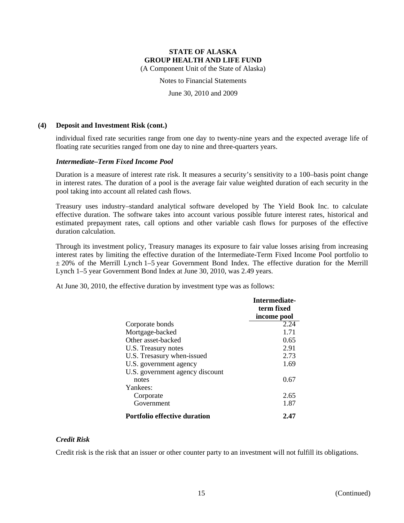# **STATE OF ALASKA GROUP HEALTH AND LIFE FUND**

(A Component Unit of the State of Alaska)

Notes to Financial Statements

June 30, 2010 and 2009

## **(4) Deposit and Investment Risk (cont.)**

individual fixed rate securities range from one day to twenty-nine years and the expected average life of floating rate securities ranged from one day to nine and three-quarters years.

## *Intermediate–Term Fixed Income Pool*

Duration is a measure of interest rate risk. It measures a security's sensitivity to a 100–basis point change in interest rates. The duration of a pool is the average fair value weighted duration of each security in the pool taking into account all related cash flows.

Treasury uses industry–standard analytical software developed by The Yield Book Inc. to calculate effective duration. The software takes into account various possible future interest rates, historical and estimated prepayment rates, call options and other variable cash flows for purposes of the effective duration calculation.

Through its investment policy, Treasury manages its exposure to fair value losses arising from increasing interest rates by limiting the effective duration of the Intermediate-Term Fixed Income Pool portfolio to  $\pm$  20% of the Merrill Lynch 1–5 year Government Bond Index. The effective duration for the Merrill Lynch 1–5 year Government Bond Index at June 30, 2010, was 2.49 years.

At June 30, 2010, the effective duration by investment type was as follows:

|                                     | Intermediate-<br>term fixed |
|-------------------------------------|-----------------------------|
|                                     | income pool                 |
| Corporate bonds                     | 2.24                        |
| Mortgage-backed                     | 1.71                        |
| Other asset-backed                  | 0.65                        |
| U.S. Treasury notes                 | 2.91                        |
| U.S. Tresasury when-issued          | 2.73                        |
| U.S. government agency              | 1.69                        |
| U.S. government agency discount     |                             |
| notes                               | 0.67                        |
| Yankees:                            |                             |
| Corporate                           | 2.65                        |
| Government                          | 1.87                        |
| <b>Portfolio effective duration</b> | 2.47                        |

## *Credit Risk*

Credit risk is the risk that an issuer or other counter party to an investment will not fulfill its obligations.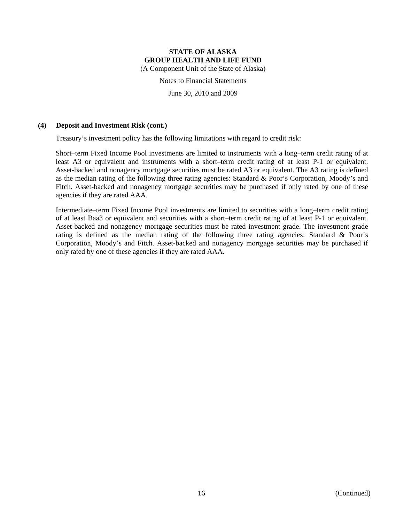Notes to Financial Statements

June 30, 2010 and 2009

## **(4) Deposit and Investment Risk (cont.)**

Treasury's investment policy has the following limitations with regard to credit risk:

Short–term Fixed Income Pool investments are limited to instruments with a long–term credit rating of at least A3 or equivalent and instruments with a short–term credit rating of at least P-1 or equivalent. Asset-backed and nonagency mortgage securities must be rated A3 or equivalent. The A3 rating is defined as the median rating of the following three rating agencies: Standard & Poor's Corporation, Moody's and Fitch. Asset-backed and nonagency mortgage securities may be purchased if only rated by one of these agencies if they are rated AAA.

Intermediate–term Fixed Income Pool investments are limited to securities with a long–term credit rating of at least Baa3 or equivalent and securities with a short–term credit rating of at least P-1 or equivalent. Asset-backed and nonagency mortgage securities must be rated investment grade. The investment grade rating is defined as the median rating of the following three rating agencies: Standard & Poor's Corporation, Moody's and Fitch. Asset-backed and nonagency mortgage securities may be purchased if only rated by one of these agencies if they are rated AAA.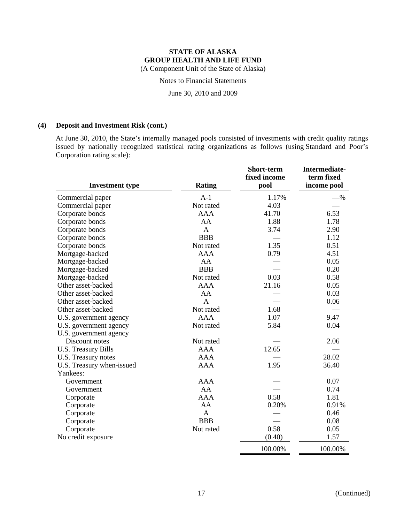Notes to Financial Statements

June 30, 2010 and 2009

## **(4) Deposit and Investment Risk (cont.)**

At June 30, 2010, the State's internally managed pools consisted of investments with credit quality ratings issued by nationally recognized statistical rating organizations as follows (using Standard and Poor's Corporation rating scale):

| <b>Investment type</b>     | <b>Rating</b> | Short-term<br>fixed income<br>pool | Intermediate-<br>term fixed<br>income pool |
|----------------------------|---------------|------------------------------------|--------------------------------------------|
| Commercial paper           | $A-1$         | 1.17%                              | $-$ %                                      |
| Commercial paper           | Not rated     | 4.03                               |                                            |
| Corporate bonds            | <b>AAA</b>    | 41.70                              | 6.53                                       |
| Corporate bonds            | AA            | 1.88                               | 1.78                                       |
| Corporate bonds            | A             | 3.74                               | 2.90                                       |
| Corporate bonds            | <b>BBB</b>    |                                    | 1.12                                       |
| Corporate bonds            | Not rated     | 1.35                               | 0.51                                       |
| Mortgage-backed            | <b>AAA</b>    | 0.79                               | 4.51                                       |
| Mortgage-backed            | AA            |                                    | 0.05                                       |
| Mortgage-backed            | <b>BBB</b>    |                                    | 0.20                                       |
| Mortgage-backed            | Not rated     | 0.03                               | 0.58                                       |
| Other asset-backed         | <b>AAA</b>    | 21.16                              | 0.05                                       |
| Other asset-backed         | AA            |                                    | 0.03                                       |
| Other asset-backed         | A             |                                    | 0.06                                       |
| Other asset-backed         | Not rated     | 1.68                               |                                            |
| U.S. government agency     | <b>AAA</b>    | 1.07                               | 9.47                                       |
| U.S. government agency     | Not rated     | 5.84                               | 0.04                                       |
| U.S. government agency     |               |                                    |                                            |
| Discount notes             | Not rated     |                                    | 2.06                                       |
| <b>U.S. Treasury Bills</b> | <b>AAA</b>    | 12.65                              |                                            |
| U.S. Treasury notes        | <b>AAA</b>    |                                    | 28.02                                      |
| U.S. Treasury when-issued  | AAA           | 1.95                               | 36.40                                      |
| Yankees:                   |               |                                    |                                            |
| Government                 | <b>AAA</b>    |                                    | 0.07                                       |
| Government                 | AA            |                                    | 0.74                                       |
| Corporate                  | <b>AAA</b>    | 0.58                               | 1.81                                       |
| Corporate                  | AA            | 0.20%                              | 0.91%                                      |
| Corporate                  | A             |                                    | 0.46                                       |
| Corporate                  | <b>BBB</b>    |                                    | 0.08                                       |
| Corporate                  | Not rated     | 0.58                               | 0.05                                       |
| No credit exposure         |               | (0.40)                             | 1.57                                       |
|                            |               | 100.00%                            | 100.00%                                    |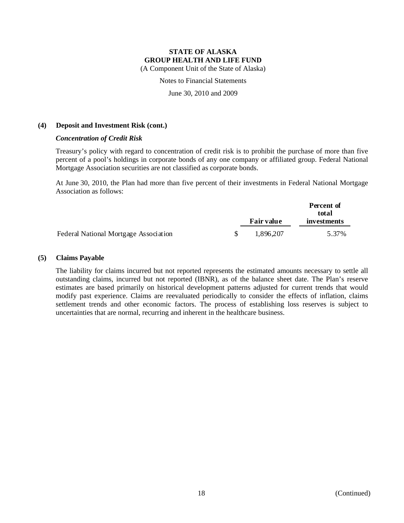Notes to Financial Statements

June 30, 2010 and 2009

## **(4) Deposit and Investment Risk (cont.)**

## *Concentration of Credit Risk*

Treasury's policy with regard to concentration of credit risk is to prohibit the purchase of more than five percent of a pool's holdings in corporate bonds of any one company or affiliated group. Federal National Mortgage Association securities are not classified as corporate bonds.

At June 30, 2010, the Plan had more than five percent of their investments in Federal National Mortgage Association as follows:

|                                       |                   | Percent of<br>total |
|---------------------------------------|-------------------|---------------------|
|                                       | <b>Fair value</b> | investments         |
| Federal National Mortgage Association | 1.896.207         | 5.37%               |

## **(5) Claims Payable**

The liability for claims incurred but not reported represents the estimated amounts necessary to settle all outstanding claims, incurred but not reported (IBNR), as of the balance sheet date. The Plan's reserve estimates are based primarily on historical development patterns adjusted for current trends that would modify past experience. Claims are reevaluated periodically to consider the effects of inflation, claims settlement trends and other economic factors. The process of establishing loss reserves is subject to uncertainties that are normal, recurring and inherent in the healthcare business.